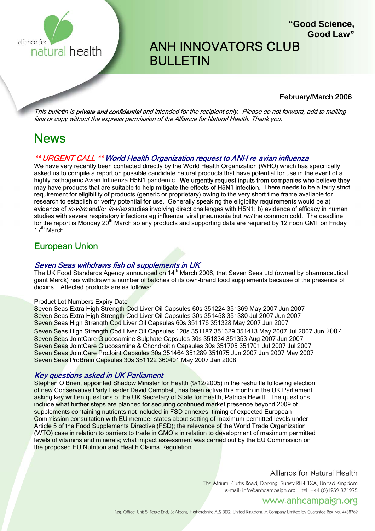

# ANH INNOVATORS CLUB **BULLETIN**

### February/March 2006

**"Good Science,**

**Good Law"**

This bulletin is **private and confidential** and intended for the recipient only. Please do not forward, add to mailing lists or copy without the express permission of the Alliance for Natural Health. Thank you.

## News

### \*\* URGENT CALL \*\* World Health Organization request to ANH re avian influenza

We have very recently been contacted directly by the World Health Organization (WHO) which has specifically asked us to compile a report on possible candidate natural products that have potential for use in the event of a highly pathogenic Avian Influenza H5N1 pandemic. We urgently request inputs from companies who believe they may have products that are suitable to help mitigate the effects of H5N1 infection. There needs to be a fairly strict requirement for eligibility of products (generic or proprietary) owing to the very short time frame available for research to establish or verify potential for use. Generally speaking the eligibility requirements would be a) evidence of *in-vitro* and/or *in-vivo* studies involving direct challenges with H5N1; b) evidence of efficacy in human studies with severe respiratory infections eg influenza, viral pneumonia but *not* the common cold. The deadline for the report is Monday 20<sup>th</sup> March so any products and supporting data are required by 12 noon GMT on Friday 17<sup>th</sup> March.

## European Union

### Seven Seas withdraws fish oil supplements in UK

The UK Food Standards Agency announced on 14<sup>th</sup> March 2006, that Seven Seas Ltd (owned by pharmaceutical giant Merck) has withdrawn a number of batches of its own-brand food supplements because of the presence of dioxins. Affected products are as follows:

#### Product Lot Numbers Expiry Date

Seven Seas Extra High Strength Cod Liver Oil Capsules 60s 351224 351369 May 2007 Jun 2007 Seven Seas Extra High Strength Cod Liver Oil Capsules 30s 351458 351380 Jul 2007 Jun 2007 Seven Seas High Strength Cod Liver Oil Capsules 60s 351176 351328 May 2007 Jun 2007 Seven Seas High Strength Cod Liver Oil Capsules 120s 351187 351629 351413 May 2007 Jul 2007 Jun 2007 Seven Seas JointCare Glucosamine Sulphate Capsules 30s 351834 351353 Aug 2007 Jun 2007 Seven Seas JointCare Glucosamine & Chondroitin Capsules 30s 351705 351701 Jul 2007 Jul 2007 Seven Seas JointCare ProJoint Capsules 30s 351464 351289 351075 Jun 2007 Jun 2007 May 2007 Seven Seas ProBrain Capsules 30s 351122 360401 May 2007 Jan 2008

### Key questions asked in UK Parliament

Stephen O'Brien, appointed Shadow Minister for Health (9/12/2005) in the reshuffle following election of new Conservative Party Leader David Campbell, has been active this month in the UK Parliament asking key written questions of the UK Secretary of State for Health, Patricia Hewitt. The questions include what further steps are planned for securing continued market presence beyond 2009 of supplements containing nutrients not included in FSD annexes; timing of expected European Commission consultation with EU member states about setting of maximum permitted levels under Article 5 of the Food Supplements Directive (FSD); the relevance of the World Trade Organization (WTO) case in relation to barriers to trade in GMO's in relation to development of maximum permitted levels of vitamins and minerals; what impact assessment was carried out by the EU Commission on the proposed EU Nutrition and Health Claims Regulation.

### Alliance for Natural Health

The Atrium, Curtis Road, Dorking, Surrey RH4 1XA, United Kingdom e-mail: info@anhcampaign.org tel: +44 (0)1252 371275

### www.anhcampaign.org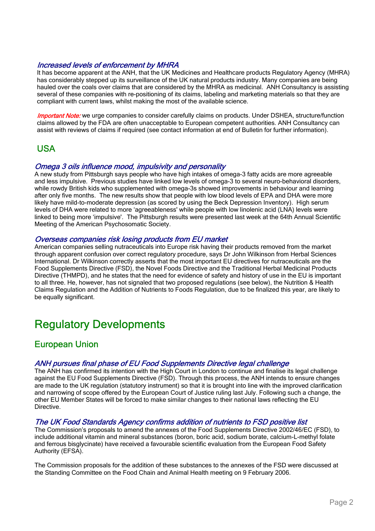### Increased levels of enforcement by MHRA

It has become apparent at the ANH, that the UK Medicines and Healthcare products Regulatory Agency (MHRA) has considerably stepped up its surveillance of the UK natural products industry. Many companies are being hauled over the coals over claims that are considered by the MHRA as medicinal. ANH Consultancy is assisting several of these companies with re-positioning of its claims, labeling and marketing materials so that they are compliant with current laws, whilst making the most of the available science.

*Important Note:* we urge companies to consider carefully claims on products. Under DSHEA, structure/function claims allowed by the FDA are often unacceptable to European competent authorities. ANH Consultancy can assist with reviews of claims if required (see contact information at end of Bulletin for further information).

## USA

### Omega 3 oils influence mood, impulsivity and personality

A new study from Pittsburgh says people who have high intakes of omega-3 fatty acids are more agreeable and less impulsive. Previous studies have linked low levels of omega-3 to several neuro-behavioral disorders, while rowdy British kids who supplemented with omega-3s showed improvements in behaviour and learning after only five months. The new results show that people with low blood levels of EPA and DHA were more likely have mild-to-moderate depression (as scored by using the Beck Depression Inventory). High serum levels of DHA were related to more 'agreeableness' while people with low linolenic acid (LNA) levels were linked to being more 'impulsive'. The Pittsburgh results were presented last week at the 64th Annual Scientific Meeting of the American Psychosomatic Society.

### Overseas companies risk losing products from EU market

American companies selling nutraceuticals into Europe risk having their products removed from the market through apparent confusion over correct regulatory procedure, says Dr John Wilkinson from Herbal Sciences International. Dr Wilkinson correctly asserts that the most important EU directives for nutraceuticals are the Food Supplements Directive (FSD), the Novel Foods Directive and the Traditional Herbal Medicinal Products Directive (THMPD), and he states that the need for evidence of safety and history of use in the EU is important to all three. He, however, has not signaled that two proposed regulations (see below), the Nutrition & Health Claims Regulation and the Addition of Nutrients to Foods Regulation, due to be finalized this year, are likely to be equally significant.

## Regulatory Developments

## European Union

# ANH pursues final phase of EU Food Supplements Directive legal challenge<br>The ANH has confirmed its intention with the High Court in London to continue and finalise its legal challenge

against the EU Food Supplements Directive (FSD). Through this process, the ANH intends to ensure changes are made to the UK regulation (statutory instrument) so that it is brought into line with the improved clarification and narrowing of scope offered by the European Court of Justice ruling last July. Following such a change, the other EU Member States will be forced to make similar changes to their national laws reflecting the EU Directive.

### The UK Food Standards Agency confirms addition of nutrients to FSD positive list

The Commission's proposals to amend the annexes of the Food Supplements Directive 2002/46/EC (FSD), to include additional vitamin and mineral substances (boron, boric acid, sodium borate, calcium-L-methyl folate and ferrous bisglycinate) have received a favourable scientific evaluation from the European Food Safety Authority (EFSA).

The Commission proposals for the addition of these substances to the annexes of the FSD were discussed at the Standing Committee on the Food Chain and Animal Health meeting on 9 February 2006.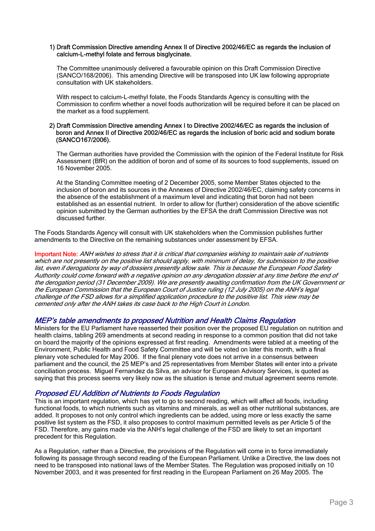#### 1) Draft Commission Directive amending Annex II of Directive 2002/46/EC as regards the inclusion of calcium-L-methyl folate and ferrous bisglycinate.

The Committee unanimously delivered a favourable opinion on this Draft Commission Directive (SANCO/168/2006). This amending Directive will be transposed into UK law following appropriate consultation with UK stakeholders.

With respect to calcium-L-methyl folate, the Foods Standards Agency is consulting with the Commission to confirm whether a novel foods authorization will be required before it can be placed on the market as a food supplement.

### 2) Draft Commission Directive amending Annex I to Directive 2002/46/EC as regards the inclusion of boron and Annex II of Directive 2002/46/EC as regards the inclusion of boric acid and sodium borate (SANCO167/2006).

The German authorities have provided the Commission with the opinion of the Federal Institute for Risk Assessment (BfR) on the addition of boron and of some of its sources to food supplements, issued on 16 November 2005.

At the Standing Committee meeting of 2 December 2005, some Member States objected to the inclusion of boron and its sources in the Annexes of Directive 2002/46/EC, claiming safety concerns in the absence of the establishment of a maximum level and indicating that boron had not been established as an essential nutrient. In order to allow for (further) consideration of the above scientific opinion submitted by the German authorities by the EFSA the draft Commission Directive was not discussed further.

The Foods Standards Agency will consult with UK stakeholders when the Commission publishes further amendments to the Directive on the remaining substances under assessment by EFSA.

Important Note: ANH wishes to stress that it is critical that companies wishing to maintain sale of nutrients which are not presently on the positive list should apply, with minimum of delay, for submission to the positive list, even if derogations by way of dossiers presently allow sale. This is because the European Food Safety Authority could come forward with a negative opinion on any derogation dossier at any time before the end of the derogation period (31 December 2009). We are presently awaiting confirmation from the UK Government or the European Commission that the European Court of Justice ruling (12 July 2005) on the ANH's legal challenge of the FSD allows for a simplified application procedure to the positive list. This view may be cemented only after the ANH takes its case back to the High Court in London.

### MEP's table amendments to proposed Nutrition and Health Claims Regulation

Ministers for the EU Parliament have reasserted their position over the proposed EU regulation on nutrition and health claims, tabling 269 amendments at second reading in response to a common position that did not take on board the majority of the opinions expressed at first reading. Amendments were tabled at a meeting of the Environment, Public Health and Food Safety Committee and will be voted on later this month, with a final plenary vote scheduled for May 2006. If the final plenary vote does not arrive in a consensus between parliament and the council, the 25 MEP's and 25 representatives from Member States will enter into a private conciliation process. Miguel Fernandez da Silva, an advisor for European Advisory Services, is quoted as saying that this process seems very likely now as the situation is tense and mutual agreement seems remote.

### Proposed EU Addition of Nutrients to Foods Regulation

This is an important regulation, which has yet to go to second reading, which will affect all foods, including functional foods, to which nutrients such as vitamins and minerals, as well as other nutritional substances, are added. It proposes to not only control which ingredients can be added, using more or less exactly the same positive list system as the FSD, it also proposes to control maximum permitted levels as per Article 5 of the FSD. Therefore, any gains made via the ANH's legal challenge of the FSD are likely to set an important precedent for this Regulation.

As a Regulation, rather than a Directive, the provisions of the Regulation will come in to force immediately following its passage through second reading of the European Parliament. Unlike a Directive, the law does not need to be transposed into national laws of the Member States. The Regulation was proposed initially on 10 November 2003, and it was presented for first reading in the European Parliament on 26 May 2005. The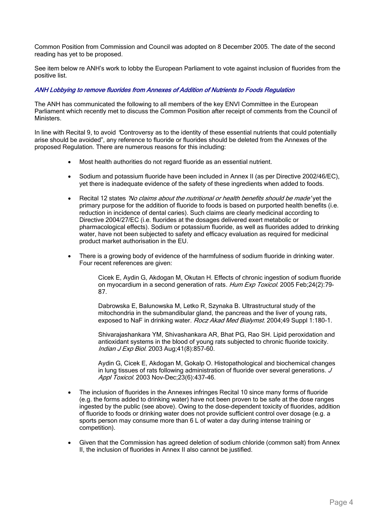Common Position from Commission and Council was adopted on 8 December 2005. The date of the second reading has yet to be proposed.

See item below re ANH's work to lobby the European Parliament to vote against inclusion of fluorides from the positive list.

### ANH Lobbying to remove fluorides from Annexes of Addition of Nutrients to Foods Regulation

The ANH has communicated the following to all members of the key ENVI Committee in the European Parliament which recently met to discuss the Common Position after receipt of comments from the Council of Ministers.

In line with Recital 9, to avoid "Controversy as to the identity of these essential nutrients that could potentially arise should be avoided", any reference to fluoride or fluorides should be deleted from the Annexes of the proposed Regulation. There are numerous reasons for this including:

- Most health authorities do not regard fluoride as an essential nutrient.
- Sodium and potassium fluoride have been included in Annex II (as per Directive 2002/46/EC), yet there is inadequate evidence of the safety of these ingredients when added to foods.
- Recital 12 states 'No claims about the nutritional or health benefits should be made' yet the primary purpose for the addition of fluoride to foods is based on purported health benefits (i.e. reduction in incidence of dental caries). Such claims are clearly medicinal according to Directive 2004/27/EC (i.e. fluorides at the dosages delivered exert metabolic or pharmacological effects). Sodium or potassium fluoride, as well as fluorides added to drinking water, have not been subjected to safety and efficacy evaluation as required for medicinal product market authorisation in the EU.
- There is a growing body of evidence of the harmfulness of sodium fluoride in drinking water. Four recent references are given:

Cicek E, Aydin G, Akdogan M, Okutan H. Effects of chronic ingestion of sodium fluoride on myocardium in a second generation of rats. Hum Exp Toxicol. 2005 Feb; 24(2): 79-87.

Dabrowska E, Balunowska M, Letko R, Szynaka B. Ultrastructural study of the mitochondria in the submandibular gland, the pancreas and the liver of young rats, exposed to NaF in drinking water. Rocz Akad Med Bialymst. 2004;49 Suppl 1:180-1.

Shivarajashankara YM, Shivashankara AR, Bhat PG, Rao SH. Lipid peroxidation and antioxidant systems in the blood of young rats subjected to chronic fluoride toxicity. Indian J Exp Biol. 2003 Aug;41(8):857-60.

Aydin G, Cicek E, Akdogan M, Gokalp O. Histopathological and biochemical changes in lung tissues of rats following administration of fluoride over several generations. J Appl Toxicol. 2003 Nov-Dec; 23(6): 437-46.

- The inclusion of fluorides in the Annexes infringes Recital 10 since many forms of fluoride (e.g. the forms added to drinking water) have not been proven to be safe at the dose ranges ingested by the public (see above). Owing to the dose-dependent toxicity of fluorides, addition of fluoride to foods or drinking water does not provide sufficient control over dosage (e.g. a sports person may consume more than 6 L of water a day during intense training or competition).
- Given that the Commission has agreed deletion of sodium chloride (common salt) from Annex II, the inclusion of fluorides in Annex II also cannot be justified.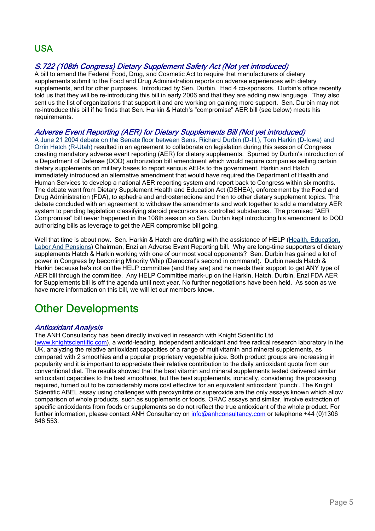## USA

### S.722 (108th Congress) Dietary Supplement Safety Act (Not yet introduced)

A bill to amend the Federal Food, Drug, and Cosmetic Act to require that manufacturers of dietary supplements submit to the Food and Drug Administration reports on adverse experiences with dietary supplements, and for other purposes. Introduced by Sen. Durbin. Had 4 co-sponsors. Durbin's office recently told us that they will be re-introducing this bill in early 2006 and that they are adding new language. They also sent us the list of organizations that support it and are working on gaining more support. Sen. Durbin may not re-introduce this bill if he finds that Sen. Harkin & Hatch's "compromise" AER bill (see below) meets his requirements.

### Adverse Event Reporting (AER) for Dietary Supplements Bill (Not yet introduced)

A June 21 2004 debate on the Senate floor between Sens. Richard Durbin (D-Ill.), Tom Harkin (D-Iowa) and Orrin Hatch (R-Utah) resulted in an agreement to collaborate on legislation during this session of Congress creating mandatory adverse event reporting (AER) for dietary supplements. Spurred by Durbin's introduction of a Department of Defense (DOD) authorization bill amendment which would require companies selling certain dietary supplements on military bases to report serious AERs to the government. Harkin and Hatch immediately introduced an alternative amendment that would have required the Department of Health and Human Services to develop a national AER reporting system and report back to Congress within six months. The debate went from Dietary Supplement Health and Education Act (DSHEA), enforcement by the Food and Drug Administration (FDA), to ephedra and androstenedione and then to other dietary supplement topics. The debate concluded with an agreement to withdraw the amendments and work together to add a mandatory AER system to pending legislation classifying steroid precursors as controlled substances. The promised "AER Compromise" bill never happened in the 108th session so Sen. Durbin kept introducing his amendment to DOD authorizing bills as leverage to get the AER compromise bill going.

Well that time is about now. Sen. Harkin & Hatch are drafting with the assistance of HELP (Health, Education, Labor And Pensions) Chairman, Enzi an Adverse Event Reporting bill. Why are long-time supporters of dietary supplements Hatch & Harkin working with one of our most vocal opponents? Sen. Durbin has gained a lot of power in Congress by becoming Minority Whip (Democrat's second in command). Durbin needs Hatch & Harkin because he's not on the HELP committee (and they are) and he needs their support to get ANY type of AER bill through the committee. Any HELP Committee mark-up on the Harkin, Hatch, Durbin, Enzi FDA AER for Supplements bill is off the agenda until next year. No further negotiations have been held. As soon as we have more information on this bill, we will let our members know.

# Other Developments

### Antioxidant Analysis

The ANH Consultancy has been directly involved in research with Knight Scientific Ltd

(www.knightscientific.com), a world-leading, independent antioxidant and free radical research laboratory in the UK, analyzing the relative antioxidant capacities of a range of multivitamin and mineral supplements, as compared with 2 smoothies and a popular proprietary vegetable juice. Both product groups are increasing in popularity and it is important to appreciate their relative contribution to the daily antioxidant quota from our conventional diet. The results showed that the best vitamin and mineral supplements tested delivered similar antioxidant capacities to the best smoothies, but the best supplements, ironically, considering the processing required, turned out to be considerably more cost effective for an equivalent antioxidant 'punch'. The Knight Scientific ABEL assay using challenges with peroxynitrite or superoxide are the only assays known which allow comparison of whole products, such as supplements or foods. ORAC assays and similar, involve extraction of specific antioxidants from foods or supplements so do not reflect the true antioxidant of the whole product. For further information, please contact ANH Consultancy on info@anhconsultancy.com or telephone +44 (0)1306 646 553.